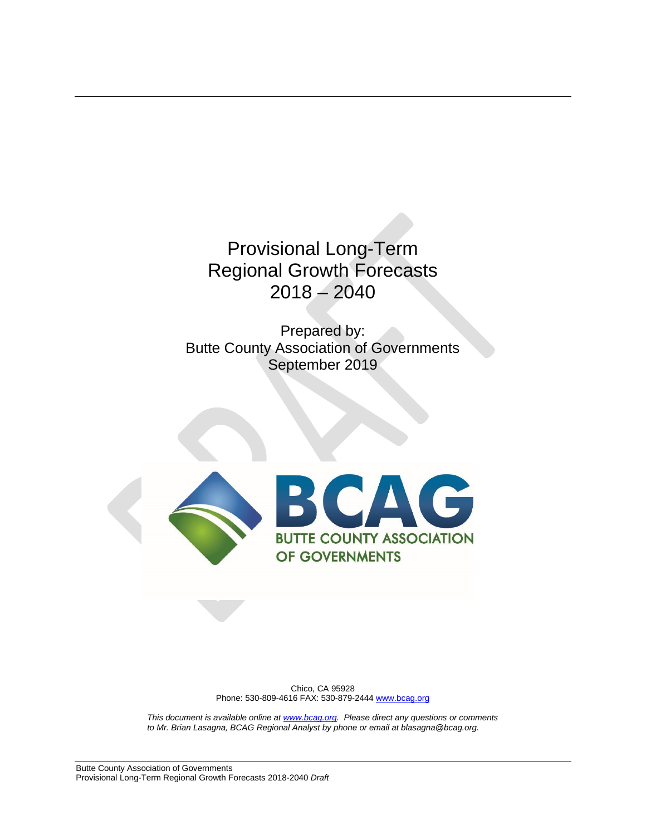Provisional Long-Term Regional Growth Forecasts 2018 – 2040

Prepared by: Butte County Association of Governments September 2019



Chico, CA 95928 Phone: 530-809-4616 FAX: 530-879-2444 [www.bcag.org](http://www.bcag.org/)

*This document is available online a[t www.bcag.org.](http://www.bcag.org/) Please direct any questions or comments to Mr. Brian Lasagna, BCAG Regional Analyst by phone or email at blasagna@bcag.org.*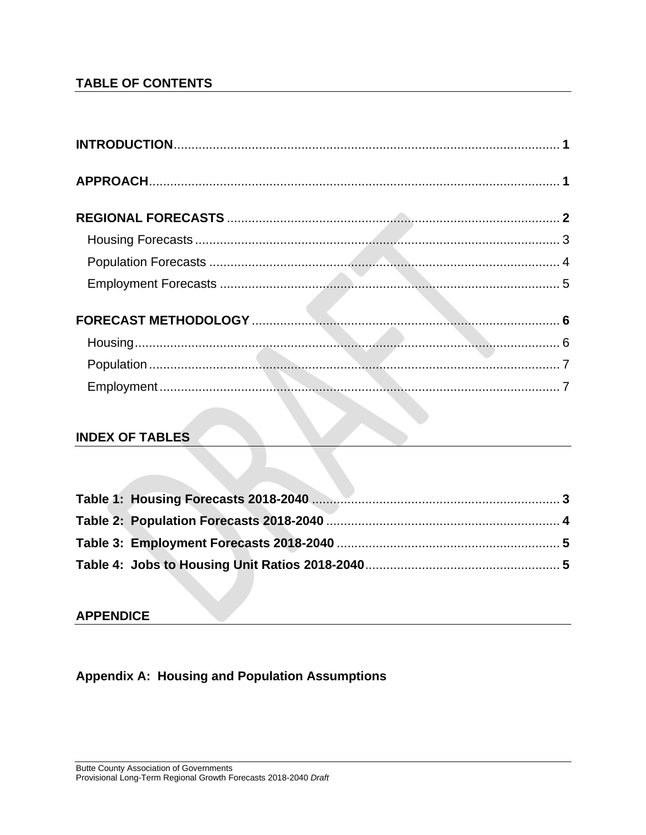# **TABLE OF CONTENTS**

# **INDEX OF TABLES**

### **APPENDICE**

**Appendix A: Housing and Population Assumptions**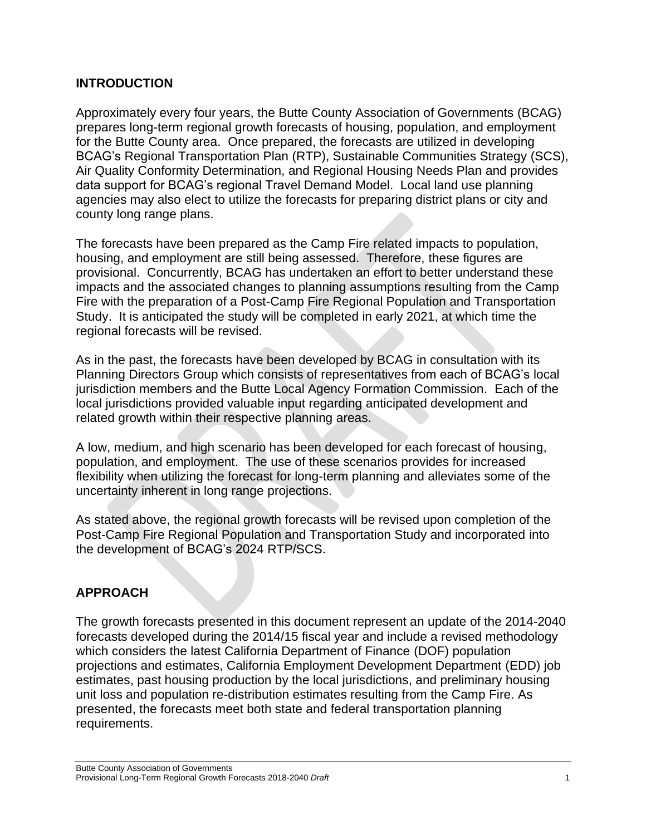### **INTRODUCTION**

Approximately every four years, the Butte County Association of Governments (BCAG) prepares long-term regional growth forecasts of housing, population, and employment for the Butte County area. Once prepared, the forecasts are utilized in developing BCAG's Regional Transportation Plan (RTP), Sustainable Communities Strategy (SCS), Air Quality Conformity Determination, and Regional Housing Needs Plan and provides data support for BCAG's regional Travel Demand Model. Local land use planning agencies may also elect to utilize the forecasts for preparing district plans or city and county long range plans.

The forecasts have been prepared as the Camp Fire related impacts to population, housing, and employment are still being assessed. Therefore, these figures are provisional. Concurrently, BCAG has undertaken an effort to better understand these impacts and the associated changes to planning assumptions resulting from the Camp Fire with the preparation of a Post-Camp Fire Regional Population and Transportation Study. It is anticipated the study will be completed in early 2021, at which time the regional forecasts will be revised.

As in the past, the forecasts have been developed by BCAG in consultation with its Planning Directors Group which consists of representatives from each of BCAG's local jurisdiction members and the Butte Local Agency Formation Commission. Each of the local jurisdictions provided valuable input regarding anticipated development and related growth within their respective planning areas.

A low, medium, and high scenario has been developed for each forecast of housing, population, and employment. The use of these scenarios provides for increased flexibility when utilizing the forecast for long-term planning and alleviates some of the uncertainty inherent in long range projections.

As stated above, the regional growth forecasts will be revised upon completion of the Post-Camp Fire Regional Population and Transportation Study and incorporated into the development of BCAG's 2024 RTP/SCS.

# **APPROACH**

The growth forecasts presented in this document represent an update of the 2014-2040 forecasts developed during the 2014/15 fiscal year and include a revised methodology which considers the latest California Department of Finance (DOF) population projections and estimates, California Employment Development Department (EDD) job estimates, past housing production by the local jurisdictions, and preliminary housing unit loss and population re-distribution estimates resulting from the Camp Fire. As presented, the forecasts meet both state and federal transportation planning requirements.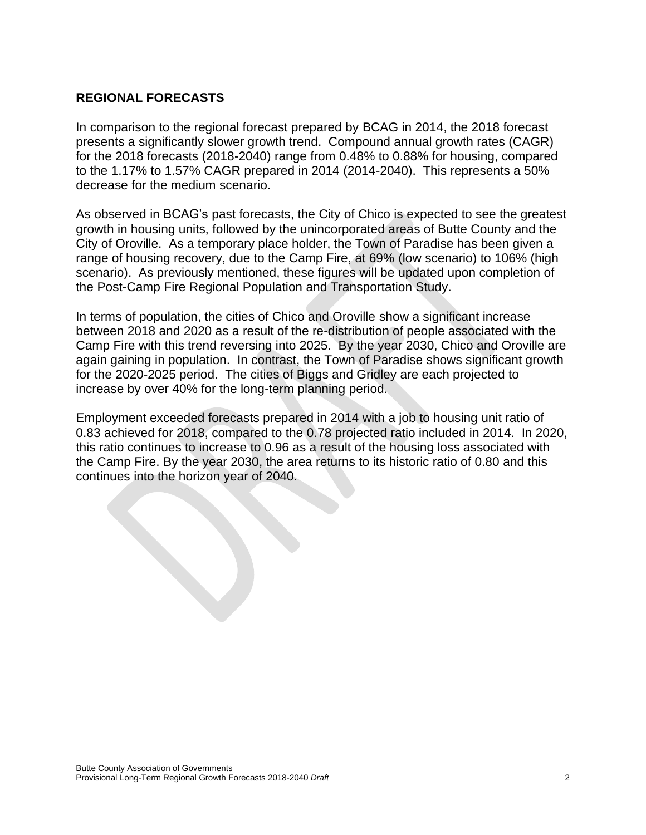# **REGIONAL FORECASTS**

In comparison to the regional forecast prepared by BCAG in 2014, the 2018 forecast presents a significantly slower growth trend. Compound annual growth rates (CAGR) for the 2018 forecasts (2018-2040) range from 0.48% to 0.88% for housing, compared to the 1.17% to 1.57% CAGR prepared in 2014 (2014-2040). This represents a 50% decrease for the medium scenario.

As observed in BCAG's past forecasts, the City of Chico is expected to see the greatest growth in housing units, followed by the unincorporated areas of Butte County and the City of Oroville. As a temporary place holder, the Town of Paradise has been given a range of housing recovery, due to the Camp Fire, at 69% (low scenario) to 106% (high scenario). As previously mentioned, these figures will be updated upon completion of the Post-Camp Fire Regional Population and Transportation Study.

In terms of population, the cities of Chico and Oroville show a significant increase between 2018 and 2020 as a result of the re-distribution of people associated with the Camp Fire with this trend reversing into 2025. By the year 2030, Chico and Oroville are again gaining in population. In contrast, the Town of Paradise shows significant growth for the 2020-2025 period. The cities of Biggs and Gridley are each projected to increase by over 40% for the long-term planning period.

Employment exceeded forecasts prepared in 2014 with a job to housing unit ratio of 0.83 achieved for 2018, compared to the 0.78 projected ratio included in 2014. In 2020, this ratio continues to increase to 0.96 as a result of the housing loss associated with the Camp Fire. By the year 2030, the area returns to its historic ratio of 0.80 and this continues into the horizon year of 2040.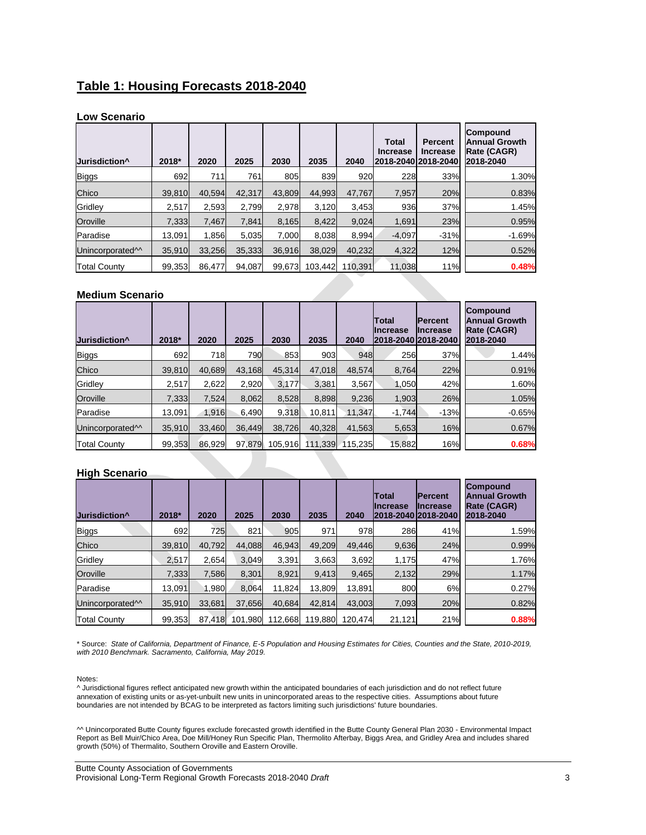# **Table 1: Housing Forecasts 2018-2040**

#### **Low Scenario**

| Jurisdiction <sup>^</sup>    | 2018*  | 2020   | 2025   | 2030   | 2035    | 2040    | <b>Total</b><br><b>Increase</b> | Percent<br><b>Increase</b><br>2018-2040 2018-2040 | Compound<br><b>Annual Growth</b><br>Rate (CAGR)<br>2018-2040 |
|------------------------------|--------|--------|--------|--------|---------|---------|---------------------------------|---------------------------------------------------|--------------------------------------------------------------|
| <b>Biggs</b>                 | 692    | 711    | 761    | 805    | 839     | 920     | 228                             | 33%                                               | 1.30%                                                        |
| Chico                        | 39.810 | 40.594 | 42,317 | 43.809 | 44.993  | 47.767  | 7,957                           | 20%                                               | 0.83%                                                        |
| Gridley                      | 2,517  | 2,593  | 2,799  | 2,978  | 3,120   | 3,453   | 936                             | 37%                                               | 1.45%                                                        |
| Oroville                     | 7,333  | 7.467  | 7,841  | 8,165  | 8,422   | 9,024   | 1,691                           | 23%                                               | 0.95%                                                        |
| Paradise                     | 13.091 | 1.856  | 5,035  | 7.000  | 8.038   | 8,994   | $-4,097$                        | $-31%$                                            | $-1.69%$                                                     |
| Unincorporated <sup>11</sup> | 35,910 | 33,256 | 35,333 | 36.916 | 38.029  | 40,232  | 4,322                           | 12%                                               | 0.52%                                                        |
| <b>Total County</b>          | 99.353 | 86.477 | 94.087 | 99,673 | 103.442 | 110,391 | 11.038                          | 11%                                               | 0.48%                                                        |

#### **Medium Scenario**

| Jurisdiction <sup>^</sup>    | 2018*  | 2020   | 2025   | 2030    | 2035    | 2040    | <b>Total</b><br><b>IIncrease</b><br>2018-2040 2018-2040 | <b>IPercent</b><br>Increase | Compound<br><b>Annual Growth</b><br>Rate (CAGR)<br>2018-2040 |
|------------------------------|--------|--------|--------|---------|---------|---------|---------------------------------------------------------|-----------------------------|--------------------------------------------------------------|
| <b>Biggs</b>                 | 692    | 718    | 790    | 853     | 903     | 948     | 256                                                     | 37%                         | 1.44%                                                        |
| Chico                        | 39.810 | 40.689 | 43.168 | 45.314  | 47.018  | 48.574  | 8.764                                                   | 22%                         | 0.91%                                                        |
| Gridley                      | 2,517  | 2,622  | 2.920  | 3.177   | 3.381   | 3,567   | 1,050                                                   | 42%                         | 1.60%                                                        |
| Oroville                     | 7.333  | 7.524  | 8.062  | 8,528   | 8.898   | 9.236   | 1,903                                                   | 26%                         | 1.05%                                                        |
| Paradise                     | 13.091 | 1.916  | 6.490  | 9.318   | 10.811  | 11.347  | $-1.744$                                                | $-13%$                      | $-0.65%$                                                     |
| Unincorporated <sup>11</sup> | 35,910 | 33,460 | 36.449 | 38,726  | 40,328  | 41,563  | 5,653                                                   | 16%                         | 0.67%                                                        |
| <b>Total County</b>          | 99,353 | 86,929 | 97.879 | 105,916 | 111.339 | 115.235 | 15,882                                                  | 16%                         | 0.68%                                                        |

#### **High Scenario**

| Jurisdiction <sup>^</sup>    | 2018*  | 2020   | 2025    | 2030    | 2035    | 2040    | Total<br>IIncrease<br>2018-2040 2018-2040 | <b>IPercent</b><br>IIncrease | <b>Compound</b><br><b>Annual Growth</b><br>Rate (CAGR)<br>2018-2040 |
|------------------------------|--------|--------|---------|---------|---------|---------|-------------------------------------------|------------------------------|---------------------------------------------------------------------|
| <b>Biggs</b>                 | 692    | 725    | 821     | 905     | 971     | 978     | 286                                       | 41%                          | 1.59%                                                               |
| Chico                        | 39,810 | 40,792 | 44,088  | 46,943  | 49,209  | 49,446  | 9,636                                     | 24%                          | 0.99%                                                               |
| Gridley                      | 2,517  | 2.654  | 3,049   | 3,391   | 3,663   | 3,692   | 1,175                                     | 47%                          | 1.76%                                                               |
| Oroville                     | 7,333  | 7,586  | 8.301   | 8.921   | 9,413   | 9,465   | 2,132                                     | 29%                          | 1.17%                                                               |
| Paradise                     | 13,091 | 1,980  | 8,064   | 11,824  | 13,809  | 13,891  | 800                                       | 6%                           | 0.27%                                                               |
| Unincorporated <sup>11</sup> | 35,910 | 33,681 | 37,656  | 40,684  | 42,814  | 43,003  | 7,093                                     | 20%                          | 0.82%                                                               |
| <b>Total County</b>          | 99,353 | 87.418 | 101,980 | 112,668 | 119,880 | 120.474 | 21,121                                    | 21%                          | 0.88%                                                               |

\* Source: *State of California, Department of Finance, E-5 Population and Housing Estimates for Cities, Counties and the State, 2010-2019, with 2010 Benchmark. Sacramento, California, May 2019.*

#### Notes:

^ Jurisdictional figures reflect anticipated new growth within the anticipated boundaries of each jurisdiction and do not reflect future annexation of existing units or as-yet-unbuilt new units in unincorporated areas to the respective cities. Assumptions about future boundaries are not intended by BCAG to be interpreted as factors limiting such jurisdictions' future boundaries.

^^ Unincorporated Butte County figures exclude forecasted growth identified in the Butte County General Plan 2030 - Environmental Impact Report as Bell Muir/Chico Area, Doe Mill/Honey Run Specific Plan, Thermolito Afterbay, Biggs Area, and Gridley Area and includes shared growth (50%) of Thermalito, Southern Oroville and Eastern Oroville.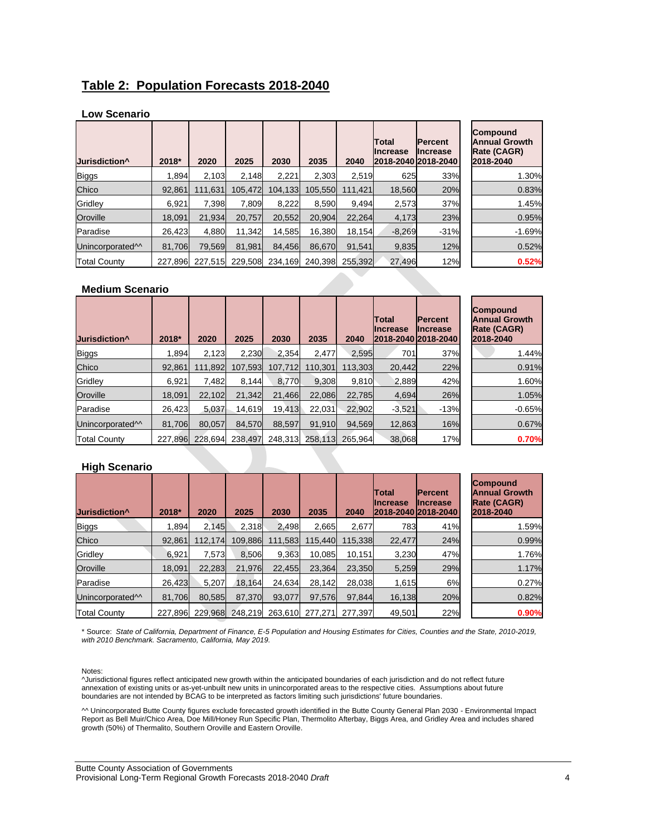### **Table 2: Population Forecasts 2018-2040**

#### **Low Scenario**

| Jurisdiction <sup>^</sup>    | 2018*  | 2020                    | 2025    | 2030    | 2035    | 2040    | <b>Total</b><br>Increase | <b>Percent</b><br><b>Increase</b><br>2018-2040 2018-2040 | <b>Compound</b><br><b>Annual Growth</b><br>Rate (CAGR)<br>2018-2040 |
|------------------------------|--------|-------------------------|---------|---------|---------|---------|--------------------------|----------------------------------------------------------|---------------------------------------------------------------------|
| <b>Biggs</b>                 | 1.894  | 2.103                   | 2.148   | 2,221   | 2.303   | 2,519   | 625                      | 33%                                                      | 1.30%                                                               |
| Chico                        | 92.861 | 111.631                 | 105.472 | 104.133 | 105.550 | 111.421 | 18.560                   | 20%                                                      | 0.83%                                                               |
| Gridley                      | 6,921  | 7,398                   | 7,809   | 8,222   | 8.590   | 9.494   | 2,573                    | 37%                                                      | 1.45%                                                               |
| Oroville                     | 18.091 | 21.934                  | 20.757  | 20.552  | 20.904  | 22.264  | 4,173                    | 23%                                                      | 0.95%                                                               |
| Paradise                     | 26,423 | 4,880                   | 11,342  | 14,585  | 16,380  | 18,154  | $-8,269$                 | $-31%$                                                   | $-1.69%$                                                            |
| Unincorporated <sup>11</sup> | 81.706 | 79.569                  | 81.981  | 84.456  | 86.670  | 91.541  | 9,835                    | 12%                                                      | 0.52%                                                               |
| <b>Total County</b>          |        | 227,896 227,515 229,508 |         | 234,169 | 240.398 | 255.392 | 27,496                   | 12%                                                      | 0.52%                                                               |

#### **Medium Scenario**

| Jurisdiction <sup>^</sup>    | 2018*   | 2020    | 2025    | 2030    | 2035    | 2040    | Total<br><b>Increase</b> | <b>Percent</b><br><b>Increase</b><br>2018-2040 2018-2040 | <b>Compound</b><br><b>Annual Growth</b><br>Rate (CAGR)<br>2018-2040 |
|------------------------------|---------|---------|---------|---------|---------|---------|--------------------------|----------------------------------------------------------|---------------------------------------------------------------------|
| <b>Biggs</b>                 | 1.894   | 2.123   | 2,230   | 2.354   | 2.477   | 2,595   | 701                      | 37%                                                      | 1.44%                                                               |
| Chico                        | 92.861  | 111.892 | 107.593 | 107.712 | 110.301 | 113.303 | 20.442                   | 22%                                                      | 0.91%                                                               |
| Gridley                      | 6,921   | 7,482   | 8,144   | 8,770   | 9,308   | 9,810   | 2,889                    | 42%                                                      | 1.60%                                                               |
| Oroville                     | 18.091  | 22.102  | 21.342  | 21.466  | 22.086  | 22.785  | 4,694                    | 26%                                                      | 1.05%                                                               |
| Paradise                     | 26,423  | 5,037   | 14,619  | 19,413  | 22,031  | 22.902  | $-3,521$                 | $-13%$                                                   | $-0.65%$                                                            |
| Unincorporated <sup>11</sup> | 81.706  | 80.057  | 84.570  | 88.597  | 91,910  | 94.569  | 12,863                   | 16%                                                      | 0.67%                                                               |
| <b>Total County</b>          | 227,896 | 228.694 | 238.497 | 248.313 | 258,113 | 265.964 | 38,068                   | 17%                                                      | 0.70%                                                               |

#### **High Scenario**

| Jurisdiction <sup>^</sup>    | 2018*   | 2020    | 2025    | 2030    | 2035    | 2040    | lTotal<br>Increase | <b>Percent</b><br><b>Increase</b><br>2018-2040 2018-2040 | <b>Compound</b><br><b>Annual Growth</b><br><b>Rate (CAGR)</b><br>2018-2040 |
|------------------------------|---------|---------|---------|---------|---------|---------|--------------------|----------------------------------------------------------|----------------------------------------------------------------------------|
| <b>Biggs</b>                 | 1.894   | 2,145   | 2,318   | 2,498   | 2,665   | 2,677   | 783                | 41%                                                      | 1.59%                                                                      |
| Chico                        | 92.861  | 112.174 | 109,886 | 111,583 | 115.440 | 115.338 | 22.477             | 24%                                                      | 0.99%                                                                      |
| Gridley                      | 6,921   | 7,573   | 8,506   | 9.363   | 10,085  | 10.151  | 3,230              | 47%                                                      | 1.76%                                                                      |
| Oroville                     | 18.091  | 22,283  | 21.976  | 22.455  | 23.364  | 23.350  | 5,259              | 29%                                                      | 1.17%                                                                      |
| Paradise                     | 26.423  | 5,207   | 18.164  | 24,634  | 28.142  | 28,038  | 1,615              | 6%                                                       | 0.27%                                                                      |
| Unincorporated <sup>11</sup> | 81.706  | 80,585  | 87,370  | 93.077  | 97.576  | 97.844  | 16,138             | 20%                                                      | 0.82%                                                                      |
| <b>Total County</b>          | 227.896 | 229.968 | 248.219 | 263.610 | 277.271 | 277.397 | 49,501             | 22%                                                      | 0.90%                                                                      |

\* Source: *State of California, Department of Finance, E-5 Population and Housing Estimates for Cities, Counties and the State, 2010-2019, with 2010 Benchmark. Sacramento, California, May 2019.*

Notes:

^Jurisdictional figures reflect anticipated new growth within the anticipated boundaries of each jurisdiction and do not reflect future annexation of existing units or as-yet-unbuilt new units in unincorporated areas to the respective cities. Assumptions about future boundaries are not intended by BCAG to be interpreted as factors limiting such jurisdictions' future boundaries.

^^ Unincorporated Butte County figures exclude forecasted growth identified in the Butte County General Plan 2030 - Environmental Impact Report as Bell Muir/Chico Area, Doe Mill/Honey Run Specific Plan, Thermolito Afterbay, Biggs Area, and Gridley Area and includes shared growth (50%) of Thermalito, Southern Oroville and Eastern Oroville.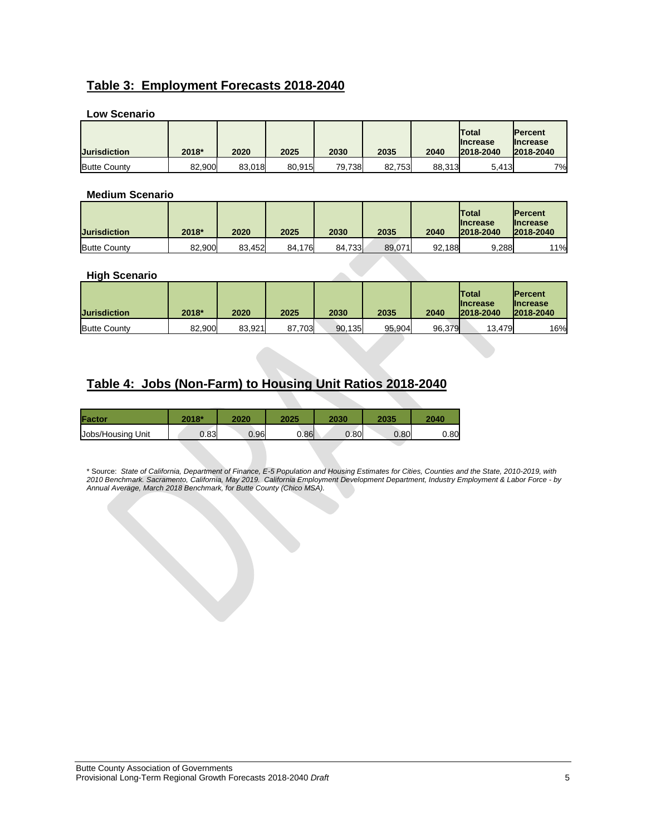# **Table 3: Employment Forecasts 2018-2040**

| LUW JUGHAHU         |        |        |        |        |        |        |                                        |                                                 |
|---------------------|--------|--------|--------|--------|--------|--------|----------------------------------------|-------------------------------------------------|
| <b>Jurisdiction</b> | 2018*  | 2020   | 2025   | 2030   | 2035   | 2040   | Total<br><b>Ilncrease</b><br>2018-2040 | <b>IPercent</b><br><b>Increase</b><br>2018-2040 |
| <b>Butte County</b> | 82.900 | 83,018 | 80.915 | 79,738 | 82.753 | 88,313 | 5,413                                  | 7%                                              |

#### **Low Scenario**

#### **Medium Scenario**

| <b>Jurisdiction</b> | 2018*  | 2020   | 2025   | 2030   | 2035   | 2040   | <b>Total</b><br><b>Increase</b><br>2018-2040 | <b>IPercent</b><br><b>Increase</b><br>2018-2040 |
|---------------------|--------|--------|--------|--------|--------|--------|----------------------------------------------|-------------------------------------------------|
| <b>Butte County</b> | 82.900 | 83.452 | 84.176 | 84,733 | 89,071 | 92.188 | 9,288                                        | 11%                                             |

#### **High Scenario**

| <b>Jurisdiction</b> | 2018*  | 2020   | 2025   | 2030   | 2035   | 2040   | <b>Total</b><br><b>Ilncrease</b><br>2018-2040 | <b>IPercent</b><br><b>Ilncrease</b><br>2018-2040 |
|---------------------|--------|--------|--------|--------|--------|--------|-----------------------------------------------|--------------------------------------------------|
| <b>Butte County</b> | 82.900 | 83.921 | 87,703 | 90,135 | 95,904 | 96,379 | 13,479                                        | 16%                                              |

### **Table 4: Jobs (Non-Farm) to Housing Unit Ratios 2018-2040**

| Factor            | 2018* | 2020 | 2025 | 2030 | 2035 | 2040 |
|-------------------|-------|------|------|------|------|------|
| Jobs/Housing Unit | 0.83  | 0.96 | 0.86 | 0.80 | 0.80 | 0.80 |

\* Source: *State of California, Department of Finance, E-5 Population and Housing Estimates for Cities, Counties and the State, 2010-2019, with 2010 Benchmark. Sacramento, California, May 2019. California Employment Development Department, Industry Employment & Labor Force - by Annual Average, March 2018 Benchmark, for Butte County (Chico MSA).*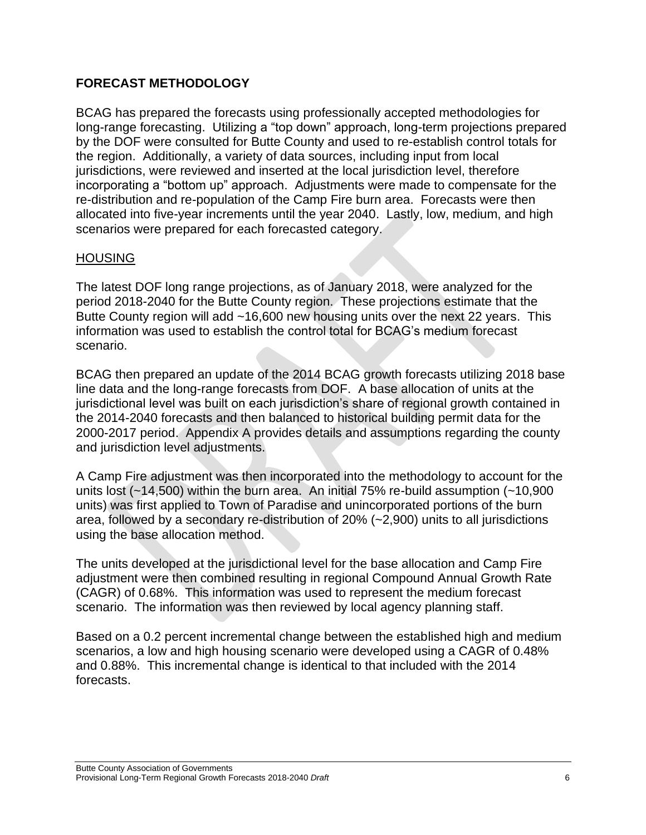# **FORECAST METHODOLOGY**

BCAG has prepared the forecasts using professionally accepted methodologies for long-range forecasting. Utilizing a "top down" approach, long-term projections prepared by the DOF were consulted for Butte County and used to re-establish control totals for the region. Additionally, a variety of data sources, including input from local jurisdictions, were reviewed and inserted at the local jurisdiction level, therefore incorporating a "bottom up" approach. Adjustments were made to compensate for the re-distribution and re-population of the Camp Fire burn area. Forecasts were then allocated into five-year increments until the year 2040. Lastly, low, medium, and high scenarios were prepared for each forecasted category.

### **HOUSING**

The latest DOF long range projections, as of January 2018, were analyzed for the period 2018-2040 for the Butte County region. These projections estimate that the Butte County region will add ~16,600 new housing units over the next 22 years. This information was used to establish the control total for BCAG's medium forecast scenario.

BCAG then prepared an update of the 2014 BCAG growth forecasts utilizing 2018 base line data and the long-range forecasts from DOF. A base allocation of units at the jurisdictional level was built on each jurisdiction's share of regional growth contained in the 2014-2040 forecasts and then balanced to historical building permit data for the 2000-2017 period. Appendix A provides details and assumptions regarding the county and jurisdiction level adjustments.

A Camp Fire adjustment was then incorporated into the methodology to account for the units lost (~14,500) within the burn area. An initial 75% re-build assumption (~10,900 units) was first applied to Town of Paradise and unincorporated portions of the burn area, followed by a secondary re-distribution of 20% (~2,900) units to all jurisdictions using the base allocation method.

The units developed at the jurisdictional level for the base allocation and Camp Fire adjustment were then combined resulting in regional Compound Annual Growth Rate (CAGR) of 0.68%. This information was used to represent the medium forecast scenario. The information was then reviewed by local agency planning staff.

Based on a 0.2 percent incremental change between the established high and medium scenarios, a low and high housing scenario were developed using a CAGR of 0.48% and 0.88%. This incremental change is identical to that included with the 2014 forecasts.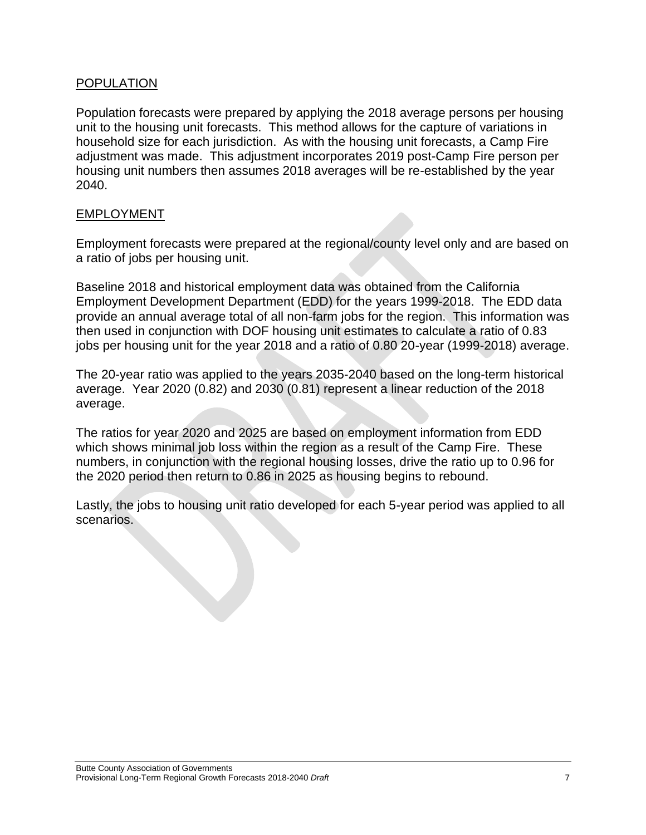### POPULATION

Population forecasts were prepared by applying the 2018 average persons per housing unit to the housing unit forecasts. This method allows for the capture of variations in household size for each jurisdiction. As with the housing unit forecasts, a Camp Fire adjustment was made. This adjustment incorporates 2019 post-Camp Fire person per housing unit numbers then assumes 2018 averages will be re-established by the year 2040.

### EMPLOYMENT

Employment forecasts were prepared at the regional/county level only and are based on a ratio of jobs per housing unit.

Baseline 2018 and historical employment data was obtained from the California Employment Development Department (EDD) for the years 1999-2018. The EDD data provide an annual average total of all non-farm jobs for the region. This information was then used in conjunction with DOF housing unit estimates to calculate a ratio of 0.83 jobs per housing unit for the year 2018 and a ratio of 0.80 20-year (1999-2018) average.

The 20-year ratio was applied to the years 2035-2040 based on the long-term historical average. Year 2020 (0.82) and 2030 (0.81) represent a linear reduction of the 2018 average.

The ratios for year 2020 and 2025 are based on employment information from EDD which shows minimal job loss within the region as a result of the Camp Fire. These numbers, in conjunction with the regional housing losses, drive the ratio up to 0.96 for the 2020 period then return to 0.86 in 2025 as housing begins to rebound.

Lastly, the jobs to housing unit ratio developed for each 5-year period was applied to all scenarios.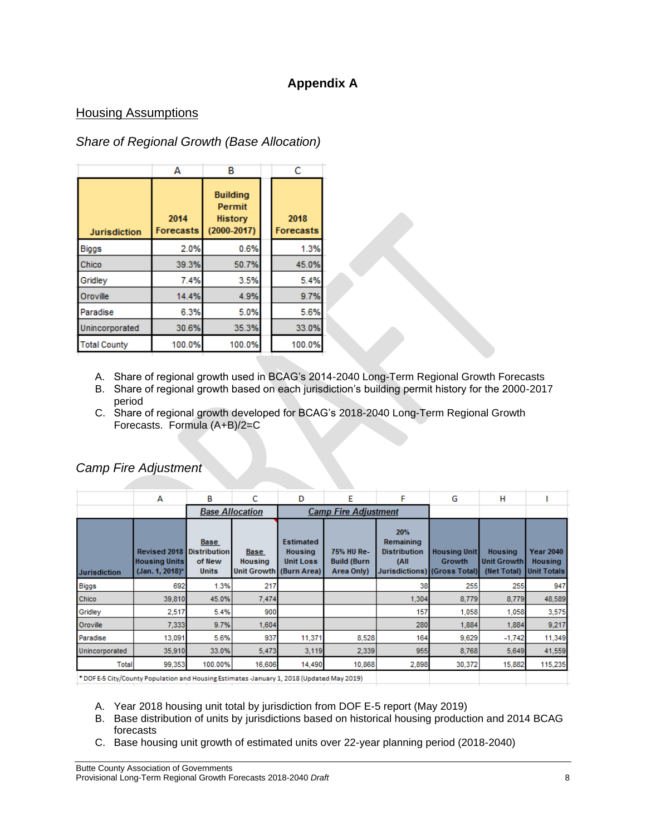# **Appendix A**

### Housing Assumptions

# *Share of Regional Growth (Base Allocation)*

|                     | А                        | В                                                       |  | C                        |
|---------------------|--------------------------|---------------------------------------------------------|--|--------------------------|
| <b>Jurisdiction</b> | 2014<br><b>Forecasts</b> | <b>Building</b><br>Permit<br>History<br>$(2000 - 2017)$ |  | 2018<br><b>Forecasts</b> |
| <b>Biggs</b>        | 2.0%                     | 0.6%                                                    |  | 1.3%                     |
| Chico               | 39.3%                    | 50.7%                                                   |  | 45.0%                    |
| Gridley             | 7.4%                     | 3.5%                                                    |  | 5.4%                     |
| Oroville            | 14.4%                    | 4.9%                                                    |  | 9.7%                     |
| Paradise            | 6.3%                     | 5.0%                                                    |  | 5.6%                     |
| Unincorporated      | 30.6%                    | 35.3%                                                   |  | 33.0%                    |
| <b>Total County</b> | 100.0%                   | 100.0%                                                  |  | 100.0%                   |

- A. Share of regional growth used in BCAG's 2014-2040 Long-Term Regional Growth Forecasts
- B. Share of regional growth based on each jurisdiction's building permit history for the 2000-2017 period
- C. Share of regional growth developed for BCAG's 2018-2040 Long-Term Regional Growth Forecasts. Formula (A+B)/2=C

|                     | А                                                                                                    | В                                                            | c                             | D                                                                                   | E                                              | F                                                                               | G                                    | н                                                   |                                                          |  |
|---------------------|------------------------------------------------------------------------------------------------------|--------------------------------------------------------------|-------------------------------|-------------------------------------------------------------------------------------|------------------------------------------------|---------------------------------------------------------------------------------|--------------------------------------|-----------------------------------------------------|----------------------------------------------------------|--|
|                     |                                                                                                      | <b>Base Allocation</b>                                       |                               | <b>Camp Fire Adjustment</b>                                                         |                                                |                                                                                 |                                      |                                                     |                                                          |  |
| <b>Jurisdiction</b> | <b>Revised 2018</b><br><b>Housing Units</b><br>(Jan. 1, 2018)*                                       | <b>Base</b><br><b>Distribution</b><br>of New<br><b>Units</b> | <b>Base</b><br><b>Housing</b> | <b>Estimated</b><br><b>Housing</b><br><b>Unit Loss</b><br>Unit Growth   (Burn Area) | 75% HU Re-<br><b>Build (Burn</b><br>Area Only) | 20%<br>Remaining<br><b>Distribution</b><br>(All<br>Jurisdictions) (Gross Total) | <b>Housing Unit</b><br><b>Growth</b> | <b>Housing</b><br><b>Unit Growth</b><br>(Net Total) | <b>Year 2040</b><br><b>Housing</b><br><b>Unit Totals</b> |  |
| <b>Biggs</b>        | 692                                                                                                  | 1.3%                                                         | 217                           |                                                                                     |                                                | 38                                                                              | 255                                  | 255                                                 | 947                                                      |  |
| Chico               | 39,810                                                                                               | 45.0%                                                        | 7.474                         |                                                                                     |                                                | 1,304                                                                           | 8,779                                | 8,779                                               | 48,589                                                   |  |
| Gridley             | 2,517                                                                                                | 5.4%                                                         | 900                           |                                                                                     |                                                | 157                                                                             | 1,058                                | 1,058                                               | 3,575                                                    |  |
| Oroville            | 7,333                                                                                                | 9.7%                                                         | 1,604                         |                                                                                     |                                                | 280                                                                             | 1,884                                | 1,884                                               | 9,217                                                    |  |
| Paradise            | 13,091                                                                                               | 5.6%                                                         | 937                           | 11,371                                                                              | 8,528                                          | 164                                                                             | 9,629                                | $-1,742$                                            | 11,349                                                   |  |
| Unincorporated      | 35,910                                                                                               | 33.0%                                                        | 5,473                         | 3,119                                                                               | 2,339                                          | 955                                                                             | 8,768                                | 5,649                                               | 41,559                                                   |  |
| <b>Total</b>        | 99,353                                                                                               | 100.00%                                                      | 16,606                        | 14,490                                                                              | 10,868                                         | 2,898                                                                           | 30,372                               | 15,882                                              | 115,235                                                  |  |
|                     | $\bullet$ DOEE E OU (On the Branchator and Harrison Extension, Increased, OO40 (Harboral Marc 0040). |                                                              |                               |                                                                                     |                                                |                                                                                 |                                      |                                                     |                                                          |  |

### *Camp Fire Adjustment*

\*DOF E-5 City/County Population and Housing Estimates -January 1, 2018 (Updated May 2019)

- A. Year 2018 housing unit total by jurisdiction from DOF E-5 report (May 2019)
- B. Base distribution of units by jurisdictions based on historical housing production and 2014 BCAG forecasts
- C. Base housing unit growth of estimated units over 22-year planning period (2018-2040)